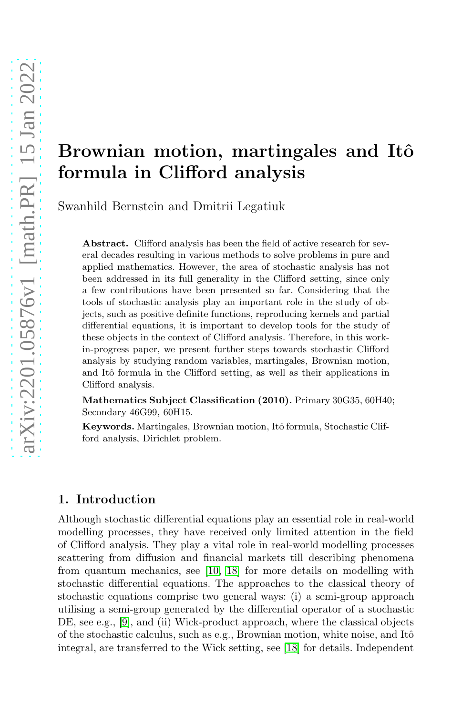# Brownian motion, martingales and Itô formula in Clifford analysis

Swanhild Bernstein and Dmitrii Legatiuk

Abstract. Clifford analysis has been the field of active research for several decades resulting in various methods to solve problems in pure and applied mathematics. However, the area of stochastic analysis has not been addressed in its full generality in the Clifford setting, since only a few contributions have been presented so far. Considering that the tools of stochastic analysis play an important role in the study of objects, such as positive definite functions, reproducing kernels and partial differential equations, it is important to develop tools for the study of these objects in the context of Clifford analysis. Therefore, in this workin-progress paper, we present further steps towards stochastic Clifford analysis by studying random variables, martingales, Brownian motion, and Itô formula in the Clifford setting, as well as their applications in Clifford analysis.

Mathematics Subject Classification (2010). Primary 30G35, 60H40; Secondary 46G99, 60H15.

Keywords. Martingales, Brownian motion, Itô formula, Stochastic Clifford analysis, Dirichlet problem.

## 1. Introduction

Although stochastic differential equations play an essential role in real-world modelling processes, they have received only limited attention in the field of Clifford analysis. They play a vital role in real-world modelling processes scattering from diffusion and financial markets till describing phenomena from quantum mechanics, see [\[10,](#page-16-0) [18\]](#page-16-1) for more details on modelling with stochastic differential equations. The approaches to the classical theory of stochastic equations comprise two general ways: (i) a semi-group approach utilising a semi-group generated by the differential operator of a stochastic DE, see e.g., [\[9\]](#page-16-2), and (ii) Wick-product approach, where the classical objects of the stochastic calculus, such as e.g., Brownian motion, white noise, and Itô integral, are transferred to the Wick setting, see [\[18\]](#page-16-1) for details. Independent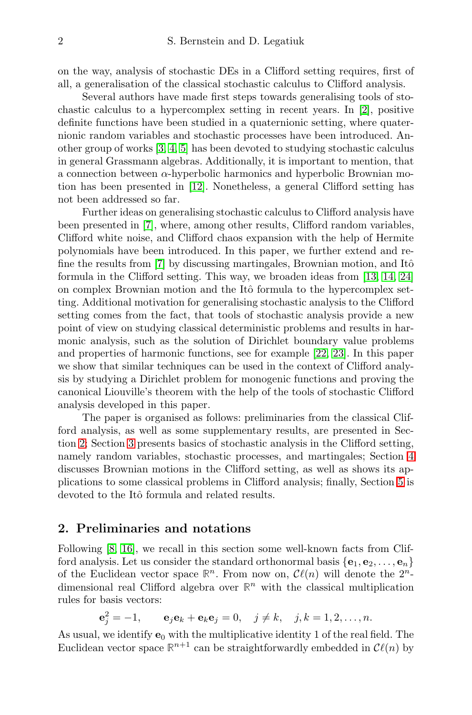on the way, analysis of stochastic DEs in a Clifford setting requires, first of all, a generalisation of the classical stochastic calculus to Clifford analysis.

Several authors have made first steps towards generalising tools of stochastic calculus to a hypercomplex setting in recent years. In [\[2\]](#page-15-0), positive definite functions have been studied in a quaternionic setting, where quaternionic random variables and stochastic processes have been introduced. Another group of works [\[3,](#page-15-1) [4,](#page-16-3) [5\]](#page-16-4) has been devoted to studying stochastic calculus in general Grassmann algebras. Additionally, it is important to mention, that a connection between  $\alpha$ -hyperbolic harmonics and hyperbolic Brownian motion has been presented in [\[12\]](#page-16-5). Nonetheless, a general Clifford setting has not been addressed so far.

Further ideas on generalising stochastic calculus to Clifford analysis have been presented in [\[7\]](#page-16-6), where, among other results, Clifford random variables, Clifford white noise, and Clifford chaos expansion with the help of Hermite polynomials have been introduced. In this paper, we further extend and refine the results from  $[7]$  by discussing martingales, Brownian motion, and Itô formula in the Clifford setting. This way, we broaden ideas from [\[13,](#page-16-7) [14,](#page-16-8) [24\]](#page-16-9) on complex Brownian motion and the Itô formula to the hypercomplex setting. Additional motivation for generalising stochastic analysis to the Clifford setting comes from the fact, that tools of stochastic analysis provide a new point of view on studying classical deterministic problems and results in harmonic analysis, such as the solution of Dirichlet boundary value problems and properties of harmonic functions, see for example [\[22,](#page-16-10) [23\]](#page-16-11). In this paper we show that similar techniques can be used in the context of Clifford analysis by studying a Dirichlet problem for monogenic functions and proving the canonical Liouville's theorem with the help of the tools of stochastic Clifford analysis developed in this paper.

The paper is organised as follows: preliminaries from the classical Clifford analysis, as well as some supplementary results, are presented in Section [2;](#page-1-0) Section [3](#page-3-0) presents basics of stochastic analysis in the Clifford setting, namely random variables, stochastic processes, and martingales; Section [4](#page-7-0) discusses Brownian motions in the Clifford setting, as well as shows its applications to some classical problems in Clifford analysis; finally, Section [5](#page-12-0) is devoted to the Itô formula and related results.

## <span id="page-1-0"></span>2. Preliminaries and notations

Following [\[8,](#page-16-12) [16\]](#page-16-13), we recall in this section some well-known facts from Clifford analysis. Let us consider the standard orthonormal basis  $\{e_1, e_2, \ldots, e_n\}$ of the Euclidean vector space  $\mathbb{R}^n$ . From now on,  $\mathcal{C}\ell(n)$  will denote the  $2^n$ dimensional real Clifford algebra over  $\mathbb{R}^n$  with the classical multiplication rules for basis vectors:

$$
e_j^2 = -1
$$
,  $e_j e_k + e_k e_j = 0$ ,  $j \neq k$ ,  $j, k = 1, 2, ..., n$ .

As usual, we identify  $e_0$  with the multiplicative identity 1 of the real field. The Euclidean vector space  $\mathbb{R}^{n+1}$  can be straightforwardly embedded in  $\mathcal{C}\ell(n)$  by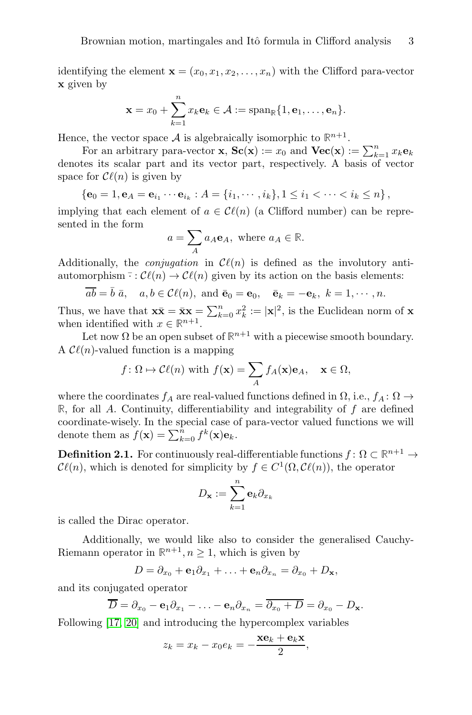identifying the element  $\mathbf{x} = (x_0, x_1, x_2, \dots, x_n)$  with the Clifford para-vector x given by

$$
\mathbf{x} = x_0 + \sum_{k=1}^n x_k \mathbf{e}_k \in \mathcal{A} := \mathrm{span}_{\mathbb{R}} \{1, \mathbf{e}_1, \dots, \mathbf{e}_n\}.
$$

Hence, the vector space A is algebraically isomorphic to  $\mathbb{R}^{n+1}$ .

For an arbitrary para-vector **x**,  $\mathbf{Sc}(\mathbf{x}) := x_0$  and  $\mathbf{Vec}(\mathbf{x}) := \sum_{k=1}^n x_k \mathbf{e}_k$ denotes its scalar part and its vector part, respectively. A basis of vector space for  $\mathcal{C}\ell(n)$  is given by

$$
\{e_0 = 1, e_A = e_{i_1} \cdots e_{i_k} : A = \{i_1, \cdots, i_k\}, 1 \leq i_1 < \cdots < i_k \leq n\},\
$$

implying that each element of  $a \in \mathcal{C}\ell(n)$  (a Clifford number) can be represented in the form

$$
a = \sum_{A} a_A \mathbf{e}_A, \text{ where } a_A \in \mathbb{R}.
$$

Additionally, the *conjugation* in  $\mathcal{C}\ell(n)$  is defined as the involutory antiautomorphism  $\overline{\cdot} : \mathcal{C}\ell(n) \to \mathcal{C}\ell(n)$  given by its action on the basis elements:

$$
\overline{ab} = \overline{b} \ \overline{a}, \quad a, b \in \mathcal{C}\ell(n), \text{ and } \overline{\mathbf{e}}_0 = \mathbf{e}_0, \quad \overline{\mathbf{e}}_k = -\mathbf{e}_k, \ k = 1, \cdots, n.
$$

Thus, we have that  $x\bar{x} = \bar{x}x = \sum_{k=0}^{n} x_k^2 := |x|^2$ , is the Euclidean norm of x when identified with  $x \in \mathbb{R}^{n+1}$ .

Let now  $\Omega$  be an open subset of  $\mathbb{R}^{n+1}$  with a piecewise smooth boundary. A  $\mathcal{C}\ell(n)$ -valued function is a mapping

$$
f: \Omega \mapsto \mathcal{C}\ell(n)
$$
 with  $f(\mathbf{x}) = \sum_{A} f_A(\mathbf{x})\mathbf{e}_A, \quad \mathbf{x} \in \Omega,$ 

where the coordinates  $f_A$  are real-valued functions defined in  $\Omega$ , i.e.,  $f_A : \Omega \rightarrow$  $\mathbb{R}$ , for all A. Continuity, differentiability and integrability of  $f$  are defined coordinate-wisely. In the special case of para-vector valued functions we will denote them as  $f(\mathbf{x}) = \sum_{k=0}^{n} f^k(\mathbf{x}) \mathbf{e}_k$ .

**Definition 2.1.** For continuously real-differentiable functions  $f: \Omega \subset \mathbb{R}^{n+1} \to$  $\mathcal{C}\ell(n)$ , which is denoted for simplicity by  $f \in C^1(\Omega, \mathcal{C}\ell(n))$ , the operator

$$
D_{\mathbf{x}}:=\sum_{k=1}^n\mathbf{e}_k\partial_{x_k}
$$

is called the Dirac operator.

Additionally, we would like also to consider the generalised Cauchy-Riemann operator in  $\mathbb{R}^{n+1}$ ,  $n \geq 1$ , which is given by

$$
D=\partial_{x_0}+\mathbf{e}_1\partial_{x_1}+\ldots+\mathbf{e}_n\partial_{x_n}=\partial_{x_0}+D_{\mathbf{x}},
$$

and its conjugated operator

$$
\overline{D}=\partial_{x_0}-\mathbf{e}_1\partial_{x_1}-\ldots-\mathbf{e}_n\partial_{x_n}=\overline{\partial_{x_0}+D}=\partial_{x_0}-D_{\mathbf{x}}.
$$

Following [\[17,](#page-16-14) [20\]](#page-16-15) and introducing the hypercomplex variables

$$
z_k = x_k - x_0 e_k = -\frac{\mathbf{x} \mathbf{e}_k + \mathbf{e}_k \mathbf{x}}{2},
$$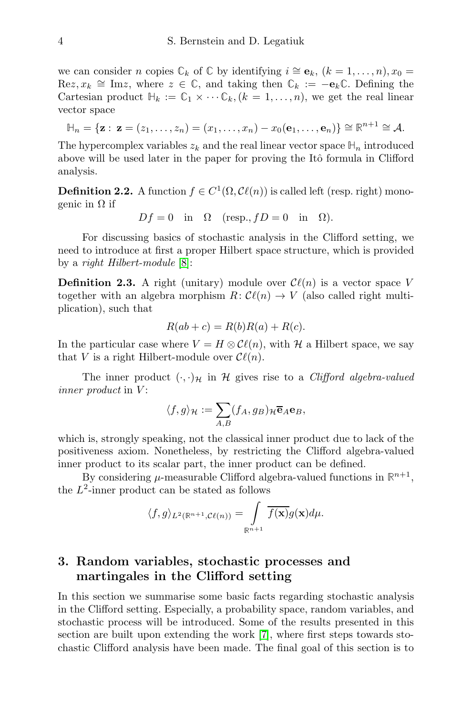we can consider *n* copies  $\mathbb{C}_k$  of  $\mathbb{C}$  by identifying  $i \cong e_k$ ,  $(k = 1, \ldots, n)$ ,  $x_0 =$  $\text{Re}z, x_k \cong \text{Im}z$ , where  $z \in \mathbb{C}$ , and taking then  $\mathbb{C}_k := -\mathbf{e}_k \mathbb{C}$ . Defining the Cartesian product  $\mathbb{H}_k := \mathbb{C}_1 \times \cdots \mathbb{C}_k$ ,  $(k = 1, \ldots, n)$ , we get the real linear vector space

$$
\mathbb{H}_n = \{ \mathbf{z} : \ \mathbf{z} = (z_1, \ldots, z_n) = (x_1, \ldots, x_n) - x_0(\mathbf{e}_1, \ldots, \mathbf{e}_n) \} \cong \mathbb{R}^{n+1} \cong \mathcal{A}.
$$

The hypercomplex variables  $z_k$  and the real linear vector space  $\mathbb{H}_n$  introduced above will be used later in the paper for proving the Itô formula in Clifford analysis.

**Definition 2.2.** A function  $f \in C^1(\Omega, \mathcal{C}\ell(n))$  is called left (resp. right) monogenic in  $Ω$  if

 $Df = 0$  in  $\Omega$  (resp.,  $fD = 0$  in  $\Omega$ ).

For discussing basics of stochastic analysis in the Clifford setting, we need to introduce at first a proper Hilbert space structure, which is provided by a right Hilbert-module [\[8\]](#page-16-12):

**Definition 2.3.** A right (unitary) module over  $\mathcal{C}\ell(n)$  is a vector space V together with an algebra morphism  $R: \mathcal{C}\ell(n) \to V$  (also called right multiplication), such that

$$
R(ab + c) = R(b)R(a) + R(c).
$$

In the particular case where  $V = H \otimes \mathcal{C}\ell(n)$ , with H a Hilbert space, we say that V is a right Hilbert-module over  $\mathcal{C}\ell(n)$ .

The inner product  $(\cdot, \cdot)_{\mathcal{H}}$  in H gives rise to a *Clifford algebra-valued*  $inner$  product in  $V$ :

$$
\langle f, g \rangle_{\mathcal{H}} := \sum_{A,B} (f_A, g_B)_{\mathcal{H}} \overline{\mathbf{e}}_A \mathbf{e}_B,
$$

which is, strongly speaking, not the classical inner product due to lack of the positiveness axiom. Nonetheless, by restricting the Clifford algebra-valued inner product to its scalar part, the inner product can be defined.

By considering  $\mu$ -measurable Clifford algebra-valued functions in  $\mathbb{R}^{n+1}$ , the  $L^2$ -inner product can be stated as follows

$$
\langle f, g \rangle_{L^2(\mathbb{R}^{n+1}, \mathcal{C}\ell(n))} = \int_{\mathbb{R}^{n+1}} \overline{f(\mathbf{x})} g(\mathbf{x}) d\mu.
$$

# <span id="page-3-0"></span>3. Random variables, stochastic processes and martingales in the Clifford setting

In this section we summarise some basic facts regarding stochastic analysis in the Clifford setting. Especially, a probability space, random variables, and stochastic process will be introduced. Some of the results presented in this section are built upon extending the work [\[7\]](#page-16-6), where first steps towards stochastic Clifford analysis have been made. The final goal of this section is to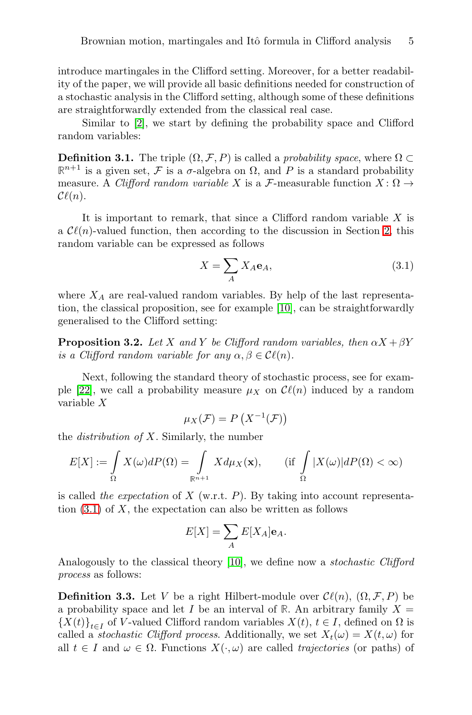introduce martingales in the Clifford setting. Moreover, for a better readability of the paper, we will provide all basic definitions needed for construction of a stochastic analysis in the Clifford setting, although some of these definitions are straightforwardly extended from the classical real case.

Similar to [\[2\]](#page-15-0), we start by defining the probability space and Clifford random variables:

**Definition 3.1.** The triple  $(\Omega, \mathcal{F}, P)$  is called a *probability space*, where  $\Omega \subset$  $\mathbb{R}^{n+1}$  is a given set, *F* is a *σ*-algebra on Ω, and *P* is a standard probability measure. A Clifford random variable X is a F-measurable function  $X: \Omega \to$  $\mathcal{C}\ell(n)$ .

It is important to remark, that since a Clifford random variable  $X$  is a  $\mathcal{C}\ell(n)$ -valued function, then according to the discussion in Section [2,](#page-1-0) this random variable can be expressed as follows

<span id="page-4-0"></span>
$$
X = \sum_{A} X_A \mathbf{e}_A,\tag{3.1}
$$

where  $X_A$  are real-valued random variables. By help of the last representation, the classical proposition, see for example [\[10\]](#page-16-0), can be straightforwardly generalised to the Clifford setting:

**Proposition 3.2.** Let X and Y be Clifford random variables, then  $\alpha X + \beta Y$ is a Clifford random variable for any  $\alpha, \beta \in \mathcal{C}\ell(n)$ .

Next, following the standard theory of stochastic process, see for exam-ple [\[22\]](#page-16-10), we call a probability measure  $\mu_X$  on  $\mathcal{C}\ell(n)$  induced by a random variable X

$$
\mu_X(\mathcal{F}) = P\left(X^{-1}(\mathcal{F})\right)
$$

the distribution of X. Similarly, the number

$$
E[X] := \int_{\Omega} X(\omega) dP(\Omega) = \int_{\mathbb{R}^{n+1}} X d\mu_X(\mathbf{x}), \qquad (\text{if } \int_{\Omega} |X(\omega)| dP(\Omega) < \infty)
$$

is called the expectation of  $X$  (w.r.t.  $P$ ). By taking into account representation  $(3.1)$  of X, the expectation can also be written as follows

$$
E[X] = \sum_{A} E[X_A] \mathbf{e}_A.
$$

Analogously to the classical theory [\[10\]](#page-16-0), we define now a *stochastic Clifford* process as follows:

**Definition 3.3.** Let V be a right Hilbert-module over  $\mathcal{C}\ell(n)$ ,  $(\Omega, \mathcal{F}, P)$  be a probability space and let I be an interval of  $\mathbb{R}$ . An arbitrary family  $X =$  ${X(t)}_{t\in I}$  of V-valued Clifford random variables  $X(t)$ ,  $t \in I$ , defined on  $\Omega$  is called a *stochastic Clifford process*. Additionally, we set  $X_t(\omega) = X(t, \omega)$  for all  $t \in I$  and  $\omega \in \Omega$ . Functions  $X(\cdot, \omega)$  are called trajectories (or paths) of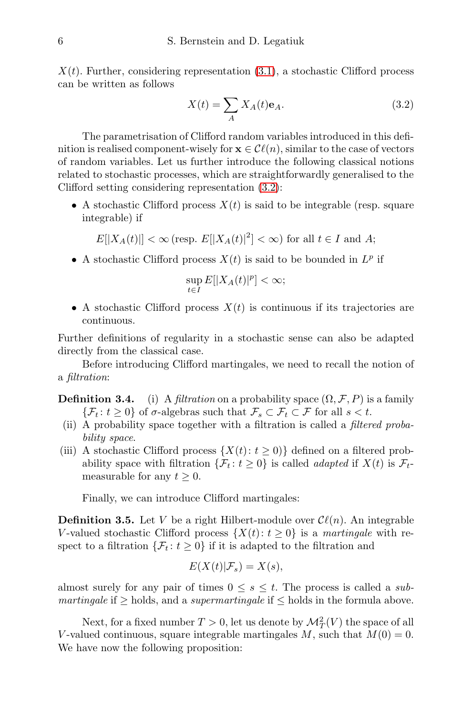$X(t)$ . Further, considering representation [\(3.1\)](#page-4-0), a stochastic Clifford process can be written as follows

<span id="page-5-0"></span>
$$
X(t) = \sum_{A} X_A(t) \mathbf{e}_A.
$$
 (3.2)

The parametrisation of Clifford random variables introduced in this definition is realised component-wisely for  $\mathbf{x} \in \mathcal{C}\ell(n)$ , similar to the case of vectors of random variables. Let us further introduce the following classical notions related to stochastic processes, which are straightforwardly generalised to the Clifford setting considering representation [\(3.2\)](#page-5-0):

• A stochastic Clifford process  $X(t)$  is said to be integrable (resp. square integrable) if

$$
E[|X_A(t)|] < \infty \text{ (resp. } E[|X_A(t)|^2] < \infty \text{) for all } t \in I \text{ and } A;
$$

• A stochastic Clifford process  $X(t)$  is said to be bounded in  $L^p$  if

$$
\sup_{t\in I}E[|X_A(t)|^p]<\infty;
$$

• A stochastic Clifford process  $X(t)$  is continuous if its trajectories are continuous.

Further definitions of regularity in a stochastic sense can also be adapted directly from the classical case.

Before introducing Clifford martingales, we need to recall the notion of a filtration:

**Definition 3.4.** (i) A *filtration* on a probability space  $(\Omega, \mathcal{F}, P)$  is a family  $\{\mathcal{F}_t : t \geq 0\}$  of  $\sigma$ -algebras such that  $\mathcal{F}_s \subset \mathcal{F}_t \subset \mathcal{F}$  for all  $s < t$ .

- (ii) A probability space together with a filtration is called a filtered probability space.
- (iii) A stochastic Clifford process  $\{X(t): t \geq 0\}$  defined on a filtered probability space with filtration  $\{\mathcal{F}_t : t \geq 0\}$  is called *adapted* if  $X(t)$  is  $\mathcal{F}_t$ measurable for any  $t \geq 0$ .

Finally, we can introduce Clifford martingales:

**Definition 3.5.** Let V be a right Hilbert-module over  $\mathcal{C}\ell(n)$ . An integrable V-valued stochastic Clifford process  $\{X(t): t \geq 0\}$  is a martingale with respect to a filtration  $\{\mathcal{F}_t : t \geq 0\}$  if it is adapted to the filtration and

$$
E(X(t)|\mathcal{F}_s) = X(s),
$$

almost surely for any pair of times  $0 \leq s \leq t$ . The process is called a *sub*martingale if  $>$  holds, and a *supermartingale* if  $<$  holds in the formula above.

Next, for a fixed number  $T > 0$ , let us denote by  $\mathcal{M}^2_T(V)$  the space of all V-valued continuous, square integrable martingales  $M$ , such that  $M(0) = 0$ . We have now the following proposition: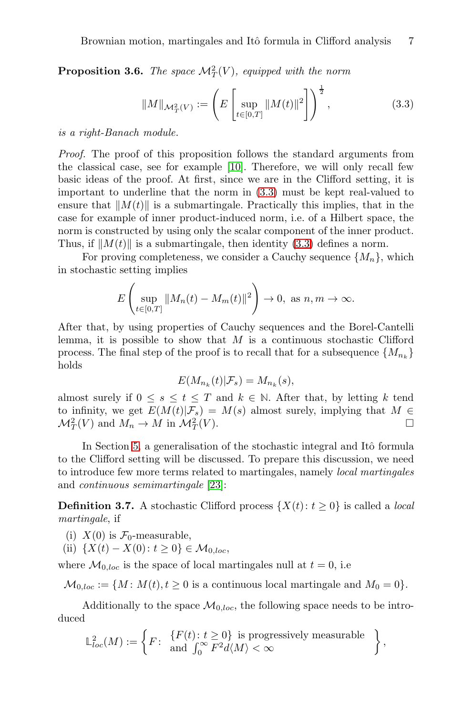**Proposition 3.6.** The space  $\mathcal{M}_T^2(V)$ , equipped with the norm

<span id="page-6-0"></span>
$$
||M||_{\mathcal{M}_T^2(V)} := \left( E\left[ \sup_{t \in [0,T]} ||M(t)||^2 \right] \right)^{\frac{1}{2}}, \tag{3.3}
$$

is a right-Banach module.

Proof. The proof of this proposition follows the standard arguments from the classical case, see for example [\[10\]](#page-16-0). Therefore, we will only recall few basic ideas of the proof. At first, since we are in the Clifford setting, it is important to underline that the norm in [\(3.3\)](#page-6-0) must be kept real-valued to ensure that  $||M(t)||$  is a submartingale. Practically this implies, that in the case for example of inner product-induced norm, i.e. of a Hilbert space, the norm is constructed by using only the scalar component of the inner product. Thus, if  $||M(t)||$  is a submartingale, then identity [\(3.3\)](#page-6-0) defines a norm.

For proving completeness, we consider a Cauchy sequence  $\{M_n\}$ , which in stochastic setting implies

$$
E\left(\sup_{t\in[0,T]}\|M_n(t)-M_m(t)\|^2\right)\to 0, \text{ as } n,m\to\infty.
$$

After that, by using properties of Cauchy sequences and the Borel-Cantelli lemma, it is possible to show that  $M$  is a continuous stochastic Clifford process. The final step of the proof is to recall that for a subsequence  $\{M_{n_k}\}$ holds

$$
E(M_{n_k}(t)|\mathcal{F}_s) = M_{n_k}(s),
$$

almost surely if  $0 \leq s \leq t \leq T$  and  $k \in \mathbb{N}$ . After that, by letting k tend to infinity, we get  $E(M(t)|\mathcal{F}_s) = M(s)$  almost surely, implying that  $M \in$  $\mathcal{M}_T^2(V)$  and  $M_n \to M$  in  $\mathcal{M}_T^2$  $(V)$ .

In Section [5,](#page-12-0) a generalisation of the stochastic integral and Itô formula to the Clifford setting will be discussed. To prepare this discussion, we need to introduce few more terms related to martingales, namely local martingales and continuous semimartingale [\[23\]](#page-16-11):

**Definition 3.7.** A stochastic Clifford process  $\{X(t): t \geq 0\}$  is called a *local* martingale, if

- (i)  $X(0)$  is  $\mathcal{F}_0$ -measurable,
- (ii)  $\{X(t) X(0): t \geq 0\} \in \mathcal{M}_{0, loc}$

where  $\mathcal{M}_{0,loc}$  is the space of local martingales null at  $t = 0$ , i.e

 $\mathcal{M}_{0,loc} := \{M: M(t), t \geq 0 \text{ is a continuous local martingale and } M_0 = 0\}.$ 

Additionally to the space  $\mathcal{M}_{0,loc}$ , the following space needs to be introduced

$$
\mathbb{L}^2_{loc}(M):=\left\{F\colon\begin{array}{l}\{F(t)\colon t\geq 0\}\text{ is progressively measurable}\\\text{and }\int_0^\infty F^2d\langle M\rangle<\infty\end{array}\right\},
$$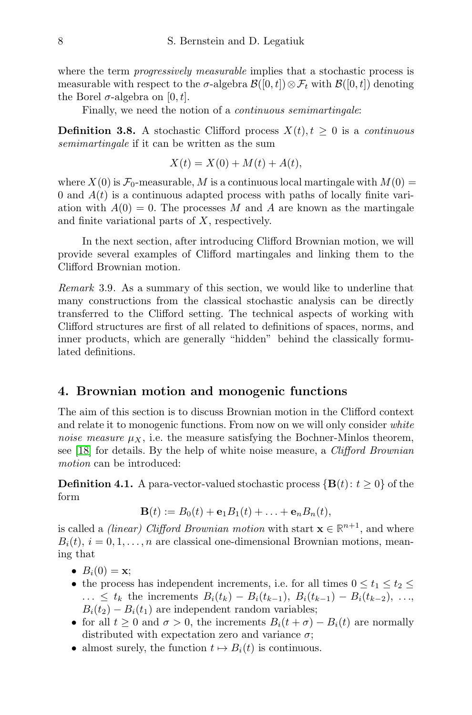where the term *progressively measurable* implies that a stochastic process is measurable with respect to the  $\sigma$ -algebra  $\mathcal{B}([0,t])\otimes \mathcal{F}_t$  with  $\mathcal{B}([0,t])$  denoting the Borel  $\sigma$ -algebra on [0, t].

Finally, we need the notion of a *continuous semimartingale*:

**Definition 3.8.** A stochastic Clifford process  $X(t)$ ,  $t > 0$  is a *continuous* semimartingale if it can be written as the sum

$$
X(t) = X(0) + M(t) + A(t),
$$

where  $X(0)$  is  $\mathcal{F}_0$ -measurable, M is a continuous local martingale with  $M(0)$  = 0 and  $A(t)$  is a continuous adapted process with paths of locally finite variation with  $A(0) = 0$ . The processes M and A are known as the martingale and finite variational parts of X, respectively.

In the next section, after introducing Clifford Brownian motion, we will provide several examples of Clifford martingales and linking them to the Clifford Brownian motion.

Remark 3.9. As a summary of this section, we would like to underline that many constructions from the classical stochastic analysis can be directly transferred to the Clifford setting. The technical aspects of working with Clifford structures are first of all related to definitions of spaces, norms, and inner products, which are generally "hidden" behind the classically formulated definitions.

### <span id="page-7-0"></span>4. Brownian motion and monogenic functions

The aim of this section is to discuss Brownian motion in the Clifford context and relate it to monogenic functions. From now on we will only consider white noise measure  $\mu_X$ , i.e. the measure satisfying the Bochner-Minlos theorem, see [\[18\]](#page-16-1) for details. By the help of white noise measure, a Clifford Brownian motion can be introduced:

<span id="page-7-1"></span>**Definition 4.1.** A para-vector-valued stochastic process  $\{B(t): t \geq 0\}$  of the form

$$
\mathbf{B}(t) := B_0(t) + \mathbf{e}_1 B_1(t) + \ldots + \mathbf{e}_n B_n(t),
$$

is called a *(linear)* Clifford Brownian motion with start  $\mathbf{x} \in \mathbb{R}^{n+1}$ , and where  $B_i(t), i = 0, 1, \ldots, n$  are classical one-dimensional Brownian motions, meaning that

- $B_i(0) = x;$
- the process has independent increments, i.e. for all times  $0 \le t_1 \le t_2 \le$  $\ldots \leq t_k$  the increments  $B_i(t_k) - B_i(t_{k-1}), B_i(t_{k-1}) - B_i(t_{k-2}), \ldots,$  $B_i(t_2) - B_i(t_1)$  are independent random variables;
- for all  $t \geq 0$  and  $\sigma > 0$ , the increments  $B_i(t + \sigma) B_i(t)$  are normally distributed with expectation zero and variance  $\sigma$ ;
- almost surely, the function  $t \mapsto B_i(t)$  is continuous.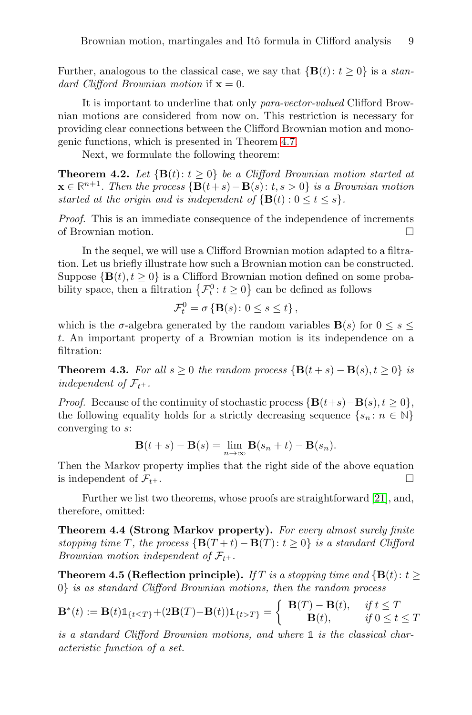Further, analogous to the classical case, we say that  $\{B(t): t \geq 0\}$  is a *stan*dard Clifford Brownian motion if  $\mathbf{x} = 0$ .

It is important to underline that only para-vector-valued Clifford Brownian motions are considered from now on. This restriction is necessary for providing clear connections between the Clifford Brownian motion and monogenic functions, which is presented in Theorem [4.7.](#page-9-0)

Next, we formulate the following theorem:

**Theorem 4.2.** Let  $\{B(t): t \geq 0\}$  be a Clifford Brownian motion started at  $\mathbf{x} \in \mathbb{R}^{n+1}$ . Then the process  $\{\mathbf{B}(t+s) - \mathbf{B}(s) : t, s > 0\}$  is a Brownian motion started at the origin and is independent of  ${B(t): 0 \le t \le s}$ .

Proof. This is an immediate consequence of the independence of increments of Brownian motion.

In the sequel, we will use a Clifford Brownian motion adapted to a filtration. Let us briefly illustrate how such a Brownian motion can be constructed. Suppose  $\{B(t), t \geq 0\}$  is a Clifford Brownian motion defined on some probability space, then a filtration  $\{\mathcal{F}_t^0 : t \geq 0\}$  can be defined as follows

$$
\mathcal{F}_t^0 = \sigma\left\{\mathbf{B}(s) \colon 0 \le s \le t\right\},\
$$

which is the  $\sigma$ -algebra generated by the random variables  $\mathbf{B}(s)$  for  $0 \leq s \leq$ t. An important property of a Brownian motion is its independence on a filtration:

<span id="page-8-0"></span>**Theorem 4.3.** For all  $s \geq 0$  the random process  $\{\mathbf{B}(t+s) - \mathbf{B}(s), t \geq 0\}$  is independent of  $\mathcal{F}_{t+}$ .

*Proof.* Because of the continuity of stochastic process  $\{B(t+s)-B(s), t \geq 0\}$ , the following equality holds for a strictly decreasing sequence  $\{s_n : n \in \mathbb{N}\}\$ converging to s:

$$
\mathbf{B}(t+s) - \mathbf{B}(s) = \lim_{n \to \infty} \mathbf{B}(s_n + t) - \mathbf{B}(s_n).
$$

Then the Markov property implies that the right side of the above equation is independent of  $\mathcal{F}_{t+}$ .

Further we list two theorems, whose proofs are straightforward [\[21\]](#page-16-16), and, therefore, omitted:

Theorem 4.4 (Strong Markov property). For every almost surely finite stopping time T, the process  $\{B(T + t) - B(T) : t \ge 0\}$  is a standard Clifford Brownian motion independent of  $\mathcal{F}_{t+}$ .

**Theorem 4.5 (Reflection principle).** If T is a stopping time and  $\{B(t): t \geq 0\}$ 0} is as standard Clifford Brownian motions, then the random process

$$
\mathbf{B}^*(t) := \mathbf{B}(t)\mathbb{1}_{\{t \le T\}} + (2\mathbf{B}(T) - \mathbf{B}(t))\mathbb{1}_{\{t > T\}} = \begin{cases} \mathbf{B}(T) - \mathbf{B}(t), & \text{if } t \le T \\ \mathbf{B}(t), & \text{if } 0 \le t \le T \end{cases}
$$

is a standard Clifford Brownian motions, and where **1** is the classical characteristic function of a set.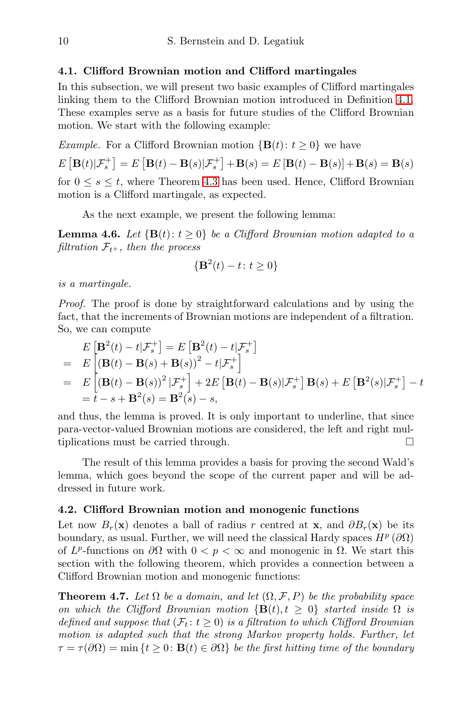#### 4.1. Clifford Brownian motion and Clifford martingales

In this subsection, we will present two basic examples of Clifford martingales linking them to the Clifford Brownian motion introduced in Definition [4.1.](#page-7-1) These examples serve as a basis for future studies of the Clifford Brownian motion. We start with the following example:

*Example.* For a Clifford Brownian motion  $\{\mathbf{B}(t): t \geq 0\}$  we have

$$
E\left[\mathbf{B}(t)|\mathcal{F}_s^+\right] = E\left[\mathbf{B}(t) - \mathbf{B}(s)|\mathcal{F}_s^+\right] + \mathbf{B}(s) = E\left[\mathbf{B}(t) - \mathbf{B}(s)\right] + \mathbf{B}(s) = \mathbf{B}(s)
$$
  
for  $0 \le s \le t$ , where Theorem 4.3 has been used. Hence, Clifford Brownian

As the next example, we present the following lemma:

motion is a Clifford martingale, as expected.

**Lemma 4.6.** Let  $\{B(t): t \geq 0\}$  be a Clifford Brownian motion adapted to a filtration  $\mathcal{F}_{t+}$ , then the process

$$
\{\mathbf B^2(t) - t \colon t \ge 0\}
$$

is a martingale.

Proof. The proof is done by straightforward calculations and by using the fact, that the increments of Brownian motions are independent of a filtration. So, we can compute

$$
E\left[\mathbf{B}^{2}(t) - t|\mathcal{F}_{s}^{+}\right] = E\left[\mathbf{B}^{2}(t) - t|\mathcal{F}_{s}^{+}\right]
$$
  
=  $E\left[\left(\mathbf{B}(t) - \mathbf{B}(s) + \mathbf{B}(s)\right)^{2} - t|\mathcal{F}_{s}^{+}\right]$   
=  $E\left[\left(\mathbf{B}(t) - \mathbf{B}(s)\right)^{2}|\mathcal{F}_{s}^{+}\right] + 2E\left[\mathbf{B}(t) - \mathbf{B}(s)|\mathcal{F}_{s}^{+}\right]\mathbf{B}(s) + E\left[\mathbf{B}^{2}(s)|\mathcal{F}_{s}^{+}\right] - t$   
=  $t - s + \mathbf{B}^{2}(s) = \mathbf{B}^{2}(s) - s$ ,

and thus, the lemma is proved. It is only important to underline, that since para-vector-valued Brownian motions are considered, the left and right multiplications must be carried through.

The result of this lemma provides a basis for proving the second Wald's lemma, which goes beyond the scope of the current paper and will be addressed in future work.

#### 4.2. Clifford Brownian motion and monogenic functions

Let now  $B_r(\mathbf{x})$  denotes a ball of radius r centred at **x**, and  $\partial B_r(\mathbf{x})$  be its boundary, as usual. Further, we will need the classical Hardy spaces  $H^p(\partial\Omega)$ of  $L^p$ -functions on  $\partial\Omega$  with  $0 < p < \infty$  and monogenic in  $\Omega$ . We start this section with the following theorem, which provides a connection between a Clifford Brownian motion and monogenic functions:

<span id="page-9-0"></span>**Theorem 4.7.** Let  $\Omega$  be a domain, and let  $(\Omega, \mathcal{F}, P)$  be the probability space on which the Clifford Brownian motion  $\{B(t), t \geq 0\}$  started inside  $\Omega$  is defined and suppose that  $(\mathcal{F}_t : t \geq 0)$  is a filtration to which Clifford Brownian motion is adapted such that the strong Markov property holds. Further, let  $\tau = \tau(\partial\Omega) = \min\{t \geq 0: \mathbf{B}(t) \in \partial\Omega\}$  be the first hitting time of the boundary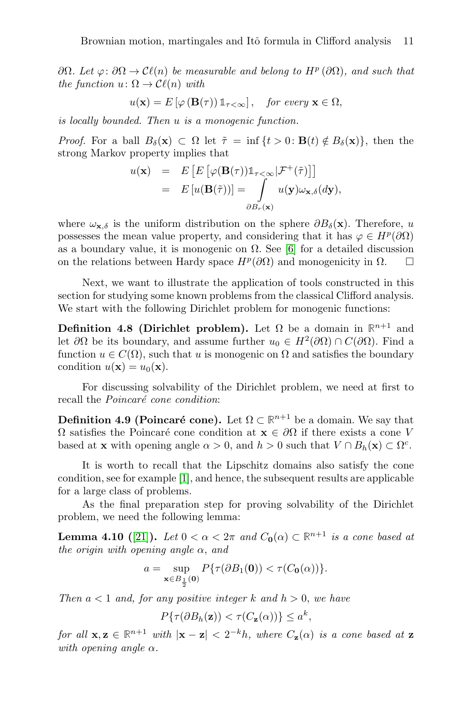$\partial\Omega$ . Let  $\varphi\colon\partial\Omega\to\mathcal{C}\ell(n)$  be measurable and belong to  $H^p\left(\partial\Omega\right)$ , and such that the function  $u: \Omega \to \mathcal{C}\ell(n)$  with

$$
u(\mathbf{x}) = E\left[\varphi\left(\mathbf{B}(\tau)\right) \mathbb{1}_{\tau < \infty}\right], \quad \text{for every } \mathbf{x} \in \Omega,
$$

is locally bounded. Then u is a monogenic function.

*Proof.* For a ball  $B_\delta(\mathbf{x}) \subset \Omega$  let  $\tilde{\tau} = \inf \{ t > 0 : \mathbf{B}(t) \notin B_\delta(\mathbf{x}) \}$ , then the strong Markov property implies that

$$
u(\mathbf{x}) = E \left[ E \left[ \varphi(\mathbf{B}(\tau)) \mathbb{1}_{\tau < \infty} | \mathcal{F}^+(\tilde{\tau}) \right] \right]
$$
  
=  $E [u(\mathbf{B}(\tilde{\tau}))] = \int_{\partial B_r(\mathbf{x})} u(\mathbf{y}) \omega_{\mathbf{x},\delta}(d\mathbf{y}),$ 

where  $\omega_{\mathbf{x},\delta}$  is the uniform distribution on the sphere  $\partial B_{\delta}(\mathbf{x})$ . Therefore, u possesses the mean value property, and considering that it has  $\varphi \in H^p(\partial\Omega)$ as a boundary value, it is monogenic on  $\Omega$ . See [\[6\]](#page-16-17) for a detailed discussion on the relations between Hardy space  $H^p(\partial\Omega)$  and monogenicity in  $\Omega$ .  $\square$ 

Next, we want to illustrate the application of tools constructed in this section for studying some known problems from the classical Clifford analysis. We start with the following Dirichlet problem for monogenic functions:

Definition 4.8 (Dirichlet problem). Let  $\Omega$  be a domain in  $\mathbb{R}^{n+1}$  and let  $\partial\Omega$  be its boundary, and assume further  $u_0 \in H^2(\partial\Omega) \cap C(\partial\Omega)$ . Find a function  $u \in C(\Omega)$ , such that u is monogenic on  $\Omega$  and satisfies the boundary condition  $u(\mathbf{x}) = u_0(\mathbf{x})$ .

For discussing solvability of the Dirichlet problem, we need at first to recall the *Poincaré* cone condition:

**Definition 4.9 (Poincaré cone).** Let  $\Omega \subset \mathbb{R}^{n+1}$  be a domain. We say that  $\Omega$  satisfies the Poincaré cone condition at  $\mathbf{x} \in \partial \Omega$  if there exists a cone V based at **x** with opening angle  $\alpha > 0$ , and  $h > 0$  such that  $V \cap B_h(\mathbf{x}) \subset \Omega^c$ .

It is worth to recall that the Lipschitz domains also satisfy the cone condition, see for example [\[1\]](#page-15-2), and hence, the subsequent results are applicable for a large class of problems.

As the final preparation step for proving solvability of the Dirichlet problem, we need the following lemma:

<span id="page-10-0"></span>**Lemma 4.10** ([\[21\]](#page-16-16)). Let  $0 < \alpha < 2\pi$  and  $C_0(\alpha) \subset \mathbb{R}^{n+1}$  is a cone based at the origin with opening angle  $\alpha$ , and

$$
a=\sup_{\mathbf{x}\in B_{\frac{1}{2}}(\mathbf{0})}P\{\tau(\partial B_1(\mathbf{0}))<\tau(C_{\mathbf{0}}(\alpha))\}.
$$

Then  $a < 1$  and, for any positive integer k and  $h > 0$ , we have

$$
P\{\tau(\partial B_h(\mathbf{z})) < \tau(C_{\mathbf{z}}(\alpha))\} \le a^k,
$$

for all  $\mathbf{x}, \mathbf{z} \in \mathbb{R}^{n+1}$  with  $|\mathbf{x} - \mathbf{z}| < 2^{-k}h$ , where  $C_{\mathbf{z}}(\alpha)$  is a cone based at  $\mathbf{z}$ with opening angle  $\alpha$ .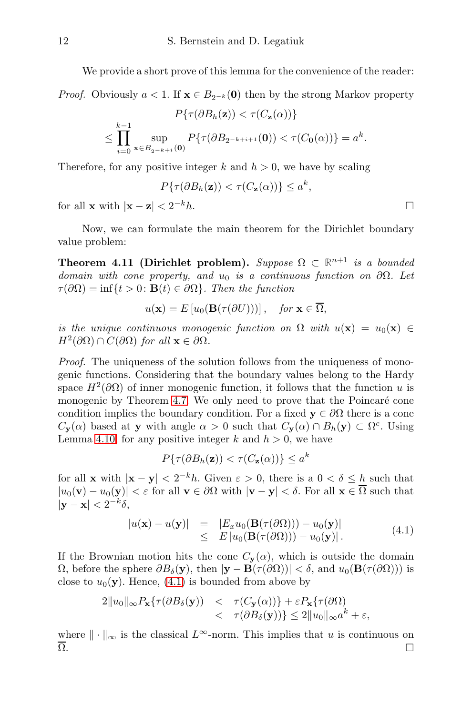We provide a short prove of this lemma for the convenience of the reader:

*Proof.* Obviously  $a < 1$ . If  $\mathbf{x} \in B_{2^{-k}}(\mathbf{0})$  then by the strong Markov property

$$
P\{\tau(\partial B_h(\mathbf{z})) < \tau(C_{\mathbf{z}}(\alpha))\}
$$
\n
$$
\leq \prod_{i=0}^{k-1} \sup_{\mathbf{x} \in B_{2^{-k+i}}(0)} P\{\tau(\partial B_{2^{-k+i+1}}(\mathbf{0})) < \tau(C_{\mathbf{0}}(\alpha))\} = a^k.
$$

Therefore, for any positive integer k and  $h > 0$ , we have by scaling

$$
P\{\tau(\partial B_h(\mathbf{z})) < \tau(C_{\mathbf{z}}(\alpha))\} \le a^k,
$$

for all **x** with  $|\mathbf{x} - \mathbf{z}| < 2^{-k}h$ .  $-kh$ .

Now, we can formulate the main theorem for the Dirichlet boundary value problem:

Theorem 4.11 (Dirichlet problem). Suppose  $\Omega \subset \mathbb{R}^{n+1}$  is a bounded domain with cone property, and u<sub>0</sub> is a continuous function on  $\partial\Omega$ . Let  $\tau(\partial\Omega) = \inf\{t > 0: \mathbf{B}(t) \in \partial\Omega\}$ . Then the function

$$
u(\mathbf{x}) = E[u_0(\mathbf{B}(\tau(\partial U)))], \quad \text{for } \mathbf{x} \in \overline{\Omega},
$$

is the unique continuous monogenic function on  $\Omega$  with  $u(\mathbf{x}) = u_0(\mathbf{x}) \in$  $H^2(\partial\Omega) \cap C(\partial\Omega)$  for all  $\mathbf{x} \in \partial\Omega$ .

Proof. The uniqueness of the solution follows from the uniqueness of monogenic functions. Considering that the boundary values belong to the Hardy space  $H^2(\partial\Omega)$  of inner monogenic function, it follows that the function u is monogenic by Theorem [4.7.](#page-9-0) We only need to prove that the Poincaré cone condition implies the boundary condition. For a fixed  $y \in \partial\Omega$  there is a cone  $C_{\mathbf{y}}(\alpha)$  based at y with angle  $\alpha > 0$  such that  $C_{\mathbf{y}}(\alpha) \cap B_h(\mathbf{y}) \subset \Omega^c$ . Using Lemma [4.10,](#page-10-0) for any positive integer k and  $h > 0$ , we have

$$
P\{\tau(\partial B_h(\mathbf{z})) < \tau(C_{\mathbf{z}}(\alpha))\} \le a^k
$$

for all **x** with  $|\mathbf{x} - \mathbf{y}| < 2^{-k}h$ . Given  $\varepsilon > 0$ , there is a  $0 < \delta \leq h$  such that  $|u_0(\mathbf{v}) - u_0(\mathbf{y})| < \varepsilon$  for all  $\mathbf{v} \in \partial\Omega$  with  $|\mathbf{v} - \mathbf{y}| < \delta$ . For all  $\mathbf{x} \in \overline{\Omega}$  such that  $|\mathbf{y} - \mathbf{x}| < 2^{-k} \delta,$ 

<span id="page-11-0"></span>
$$
|u(\mathbf{x}) - u(\mathbf{y})| = |E_x u_0(\mathbf{B}(\tau(\partial \Omega))) - u_0(\mathbf{y})|
$$
  
\n
$$
\leq E |u_0(\mathbf{B}(\tau(\partial \Omega))) - u_0(\mathbf{y})|.
$$
 (4.1)

If the Brownian motion hits the cone  $C_{\mathbf{y}}(\alpha)$ , which is outside the domain  $\Omega$ , before the sphere  $\partial B_\delta(\mathbf{y})$ , then  $|\mathbf{y} - \mathbf{B}(\tau(\partial\Omega))| < \delta$ , and  $u_0(\mathbf{B}(\tau(\partial\Omega)))$  is close to  $u_0(\mathbf{y})$ . Hence, [\(4.1\)](#page-11-0) is bounded from above by

$$
2\|u_0\|_{\infty}P_{\mathbf{x}}\{\tau(\partial B_{\delta}(\mathbf{y})) \quad < \quad \tau(C_{\mathbf{y}}(\alpha))\} + \varepsilon P_{\mathbf{x}}\{\tau(\partial \Omega)
$$
  

$$
< \quad \tau(\partial B_{\delta}(\mathbf{y}))\} \le 2\|u_0\|_{\infty}a^k + \varepsilon,
$$

where  $\|\cdot\|_{\infty}$  is the classical  $L^{\infty}$ -norm. This implies that u is continuous on  $\overline{\Omega}$ .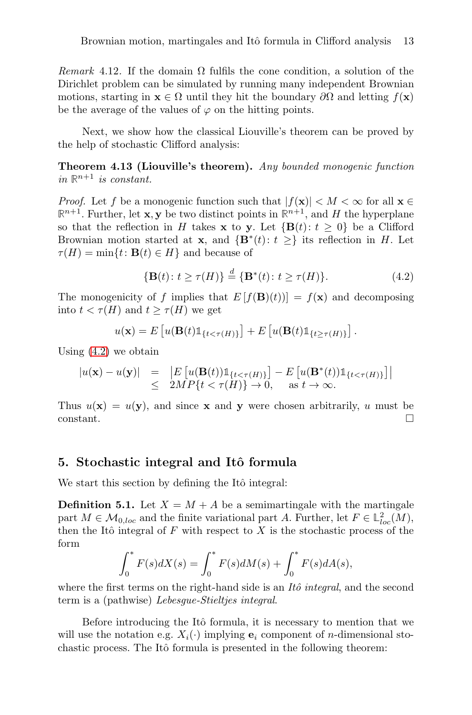Remark 4.12. If the domain  $\Omega$  fulfils the cone condition, a solution of the Dirichlet problem can be simulated by running many independent Brownian motions, starting in  $\mathbf{x} \in \Omega$  until they hit the boundary  $\partial \Omega$  and letting  $f(\mathbf{x})$ be the average of the values of  $\varphi$  on the hitting points.

Next, we show how the classical Liouville's theorem can be proved by the help of stochastic Clifford analysis:

Theorem 4.13 (Liouville's theorem). Any bounded monogenic function in  $\mathbb{R}^{n+1}$  is constant.

*Proof.* Let f be a monogenic function such that  $|f(\mathbf{x})| < M < \infty$  for all  $\mathbf{x} \in \mathbb{R}$  $\mathbb{R}^{n+1}$ . Further, let **x**, **y** be two distinct points in  $\mathbb{R}^{n+1}$ , and H the hyperplane so that the reflection in H takes **x** to **y**. Let  $\{\mathbf{B}(t): t \geq 0\}$  be a Clifford Brownian motion started at **x**, and  $\{B^*(t): t \geq \}$  its reflection in H. Let  $\tau(H) = \min\{t : \mathbf{B}(t) \in H\}$  and because of

<span id="page-12-1"></span>
$$
\{\mathbf{B}(t): t \ge \tau(H)\} \stackrel{d}{=} \{\mathbf{B}^*(t): t \ge \tau(H)\}.
$$
\n(4.2)

The monogenicity of f implies that  $E[f(\mathbf{B})(t))] = f(\mathbf{x})$  and decomposing into  $t < \tau(H)$  and  $t > \tau(H)$  we get

$$
u(\mathbf{x}) = E\left[u(\mathbf{B}(t)\mathbb{1}_{\{t < \tau(H)\}}\right] + E\left[u(\mathbf{B}(t)\mathbb{1}_{\{t \ge \tau(H)\}}\right].
$$

Using  $(4.2)$  we obtain

$$
|u(\mathbf{x}) - u(\mathbf{y})| = \left| E\left[u(\mathbf{B}(t))\mathbb{1}_{\{t < \tau(H)\}}\right] - E\left[u(\mathbf{B}^*(t))\mathbb{1}_{\{t < \tau(H)\}}\right] \right|
$$
  
 
$$
\leq 2MP\{t < \tau(H)\} \to 0, \quad \text{as } t \to \infty.
$$

Thus  $u(\mathbf{x}) = u(\mathbf{y})$ , and since **x** and **y** were chosen arbitrarily, u must be constant.

#### <span id="page-12-0"></span>5. Stochastic integral and Itô formula

We start this section by defining the Itô integral:

**Definition 5.1.** Let  $X = M + A$  be a semimartingale with the martingale part  $M \in \mathcal{M}_{0, loc}$  and the finite variational part A. Further, let  $F \in \mathbb{L}^2_{loc}(M)$ , then the Itô integral of  $F$  with respect to  $X$  is the stochastic process of the form

$$
\int_0^* F(s)dX(s) = \int_0^* F(s)dM(s) + \int_0^* F(s)dA(s),
$$

where the first terms on the right-hand side is an  $It\delta$  integral, and the second term is a (pathwise) Lebesgue-Stieltjes integral.

Before introducing the Itô formula, it is necessary to mention that we will use the notation e.g.  $X_i(\cdot)$  implying  $e_i$  component of *n*-dimensional stochastic process. The Itô formula is presented in the following theorem: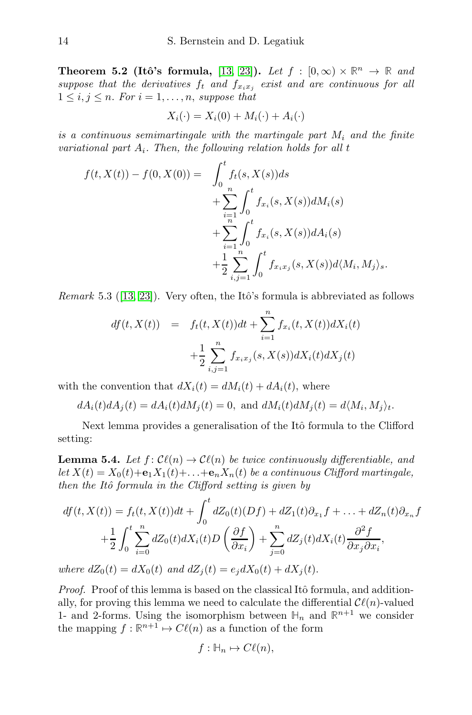**Theorem 5.2 (Itô's formula,** [\[13,](#page-16-7) [23\]](#page-16-11)). Let  $f : [0, \infty) \times \mathbb{R}^n \to \mathbb{R}$  and suppose that the derivatives  $f_t$  and  $f_{x_ix_j}$  exist and are continuous for all  $1 \leq i, j \leq n$ . For  $i = 1, \ldots, n$ , suppose that

$$
X_i(\cdot) = X_i(0) + M_i(\cdot) + A_i(\cdot)
$$

is a continuous semimartingale with the martingale part  $M_i$  and the finite variational part  $A_i$ . Then, the following relation holds for all t

$$
f(t, X(t)) - f(0, X(0)) = \int_0^t f_t(s, X(s))ds
$$
  
+ 
$$
\sum_{i=1}^n \int_0^t f_{x_i}(s, X(s))dM_i(s)
$$
  
+ 
$$
\sum_{i=1}^n \int_0^t f_{x_i}(s, X(s))dA_i(s)
$$
  
+ 
$$
\frac{1}{2} \sum_{i,j=1}^n \int_0^t f_{x_i x_j}(s, X(s))d\langle M_i, M_j \rangle_s.
$$

*Remark* 5.3 ([\[13,](#page-16-7) [23\]](#page-16-11)). Very often, the Itô's formula is abbreviated as follows

$$
df(t, X(t)) = f_t(t, X(t))dt + \sum_{i=1}^n f_{x_i}(t, X(t))dX_i(t) + \frac{1}{2} \sum_{i,j=1}^n f_{x_i x_j}(s, X(s))dX_i(t)dX_j(t)
$$

with the convention that  $dX_i(t) = dM_i(t) + dA_i(t)$ , where

$$
dA_i(t)dA_j(t) = dA_i(t)dM_j(t) = 0, \text{ and } dM_i(t)dM_j(t) = d\langle M_i, M_j \rangle_t.
$$

Next lemma provides a generalisation of the Itô formula to the Clifford setting:

<span id="page-13-0"></span>**Lemma 5.4.** Let  $f: \mathcal{C}\ell(n) \to \mathcal{C}\ell(n)$  be twice continuously differentiable, and let  $X(t) = X_0(t) + \mathbf{e}_1 X_1(t) + \ldots + \mathbf{e}_n X_n(t)$  be a continuous Clifford martingale, then the Itô formula in the Clifford setting is given by

$$
df(t, X(t)) = f_t(t, X(t))dt + \int_0^t dZ_0(t)(Df) + dZ_1(t)\partial_{x_1}f + \dots + dZ_n(t)\partial_{x_n}f
$$

$$
+ \frac{1}{2} \int_0^t \sum_{i=0}^n dZ_0(t)dX_i(t)D\left(\frac{\partial f}{\partial x_i}\right) + \sum_{j=0}^n dZ_j(t)dX_i(t)\frac{\partial^2 f}{\partial x_j \partial x_i},
$$

where  $dZ_0(t) = dX_0(t)$  and  $dZ_j(t) = e_j dX_0(t) + dX_j(t)$ .

Proof. Proof of this lemma is based on the classical Itô formula, and additionally, for proving this lemma we need to calculate the differential  $\mathcal{C}\ell(n)$ -valued 1- and 2-forms. Using the isomorphism between  $H_n$  and  $\mathbb{R}^{n+1}$  we consider the mapping  $f : \mathbb{R}^{n+1} \mapsto C\ell(n)$  as a function of the form

$$
f: \mathbb{H}_n \mapsto C\ell(n),
$$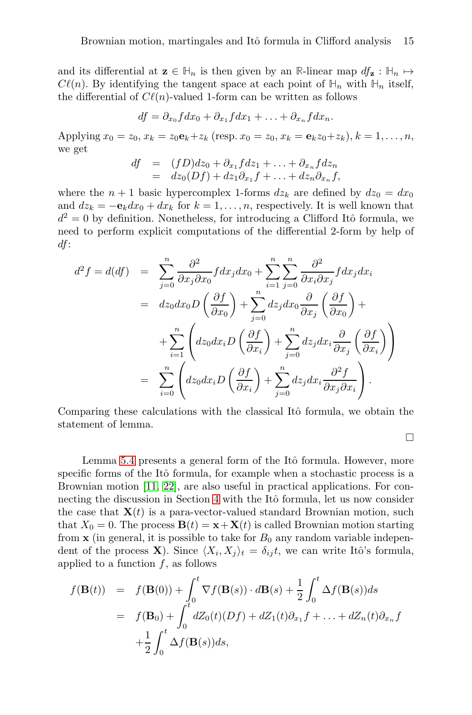and its differential at  $z \in \mathbb{H}_n$  is then given by an **R**-linear map  $df_z : \mathbb{H}_n \mapsto$  $C\ell(n)$ . By identifying the tangent space at each point of  $\mathbb{H}_n$  with  $\mathbb{H}_n$  itself, the differential of  $C\ell(n)$ -valued 1-form can be written as follows

$$
df = \partial_{x_0} f dx_0 + \partial_{x_1} f dx_1 + \ldots + \partial_{x_n} f dx_n.
$$

Applying  $x_0 = z_0$ ,  $x_k = z_0 \mathbf{e}_k + z_k$  (resp.  $x_0 = z_0$ ,  $x_k = \mathbf{e}_k z_0 + z_k$ ),  $k = 1, ..., n$ , we get

$$
df = (fD)dz_0 + \partial_{x_1} f dz_1 + \ldots + \partial_{x_n} f dz_n
$$
  
=  $dz_0(Df) + dz_1 \partial_{x_1} f + \ldots + dz_n \partial_{x_n} f,$ 

where the  $n + 1$  basic hypercomplex 1-forms  $dz_k$  are defined by  $dz_0 = dx_0$ and  $dz_k = -e_k dx_0 + dx_k$  for  $k = 1, ..., n$ , respectively. It is well known that  $d^2 = 0$  by definition. Nonetheless, for introducing a Clifford Itô formula, we need to perform explicit computations of the differential 2-form by help of df:

$$
d^2 f = d(df) = \sum_{j=0}^n \frac{\partial^2}{\partial x_j \partial x_0} f dx_j dx_0 + \sum_{i=1}^n \sum_{j=0}^n \frac{\partial^2}{\partial x_i \partial x_j} f dx_j dx_i
$$
  

$$
= dz_0 dx_0 D\left(\frac{\partial f}{\partial x_0}\right) + \sum_{j=0}^n dz_j dx_0 \frac{\partial}{\partial x_j} \left(\frac{\partial f}{\partial x_0}\right) + \sum_{i=1}^n \left( dz_0 dx_i D\left(\frac{\partial f}{\partial x_i}\right) + \sum_{j=0}^n dz_j dx_i \frac{\partial}{\partial x_j} \left(\frac{\partial f}{\partial x_i}\right) \right)
$$
  

$$
= \sum_{i=0}^n \left( dz_0 dx_i D\left(\frac{\partial f}{\partial x_i}\right) + \sum_{j=0}^n dz_j dx_i \frac{\partial^2 f}{\partial x_j \partial x_i} \right).
$$

Comparing these calculations with the classical Itô formula, we obtain the statement of lemma.

 $\Box$ 

Lemma [5.4](#page-13-0) presents a general form of the Itô formula. However, more specific forms of the Itô formula, for example when a stochastic process is a Brownian motion [\[11,](#page-16-18) [22\]](#page-16-10), are also useful in practical applications. For con-necting the discussion in Section [4](#page-7-0) with the Itô formula, let us now consider the case that  $\mathbf{X}(t)$  is a para-vector-valued standard Brownian motion, such that  $X_0 = 0$ . The process  $\mathbf{B}(t) = \mathbf{x} + \mathbf{X}(t)$  is called Brownian motion starting from  $x$  (in general, it is possible to take for  $B_0$  any random variable independent of the process **X**). Since  $\langle X_i, X_j \rangle_t = \delta_{ij} t$ , we can write Itô's formula, applied to a function  $f$ , as follows

$$
f(\mathbf{B}(t)) = f(\mathbf{B}(0)) + \int_0^t \nabla f(\mathbf{B}(s)) \cdot d\mathbf{B}(s) + \frac{1}{2} \int_0^t \Delta f(\mathbf{B}(s)) ds
$$
  
=  $f(\mathbf{B}_0) + \int_0^t dZ_0(t)(Df) + dZ_1(t)\partial_{x_1}f + \dots + dZ_n(t)\partial_{x_n}f$   
+  $\frac{1}{2} \int_0^t \Delta f(\mathbf{B}(s)) ds,$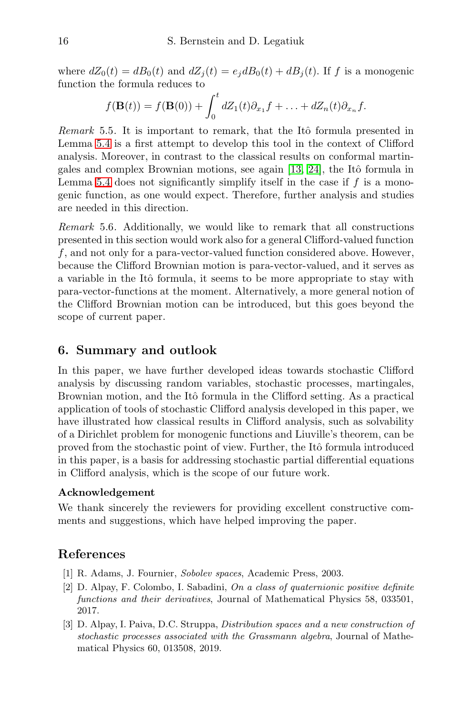where  $dZ_0(t) = dB_0(t)$  and  $dZ_i(t) = e_i dB_0(t) + dB_i(t)$ . If f is a monogenic function the formula reduces to

$$
f(\mathbf{B}(t)) = f(\mathbf{B}(0)) + \int_0^t dZ_1(t)\partial_{x_1}f + \ldots + dZ_n(t)\partial_{x_n}f.
$$

Remark 5.5. It is important to remark, that the Itô formula presented in Lemma [5.4](#page-13-0) is a first attempt to develop this tool in the context of Clifford analysis. Moreover, in contrast to the classical results on conformal martin-gales and complex Brownian motions, see again [\[13,](#page-16-7) [24\]](#page-16-9), the Itô formula in Lemma [5.4](#page-13-0) does not significantly simplify itself in the case if  $f$  is a monogenic function, as one would expect. Therefore, further analysis and studies are needed in this direction.

Remark 5.6. Additionally, we would like to remark that all constructions presented in this section would work also for a general Clifford-valued function f, and not only for a para-vector-valued function considered above. However, because the Clifford Brownian motion is para-vector-valued, and it serves as a variable in the Itô formula, it seems to be more appropriate to stay with para-vector-functions at the moment. Alternatively, a more general notion of the Clifford Brownian motion can be introduced, but this goes beyond the scope of current paper.

#### 6. Summary and outlook

In this paper, we have further developed ideas towards stochastic Clifford analysis by discussing random variables, stochastic processes, martingales, Brownian motion, and the Itô formula in the Clifford setting. As a practical application of tools of stochastic Clifford analysis developed in this paper, we have illustrated how classical results in Clifford analysis, such as solvability of a Dirichlet problem for monogenic functions and Liuville's theorem, can be proved from the stochastic point of view. Further, the Itˆo formula introduced in this paper, is a basis for addressing stochastic partial differential equations in Clifford analysis, which is the scope of our future work.

#### Acknowledgement

We thank sincerely the reviewers for providing excellent constructive comments and suggestions, which have helped improving the paper.

## <span id="page-15-2"></span>References

- <span id="page-15-0"></span>[1] R. Adams, J. Fournier, Sobolev spaces, Academic Press, 2003.
- [2] D. Alpay, F. Colombo, I. Sabadini, On a class of quaternionic positive definite functions and their derivatives, Journal of Mathematical Physics 58, 033501, 2017.
- <span id="page-15-1"></span>[3] D. Alpay, I. Paiva, D.C. Struppa, Distribution spaces and a new construction of stochastic processes associated with the Grassmann algebra, Journal of Mathematical Physics 60, 013508, 2019.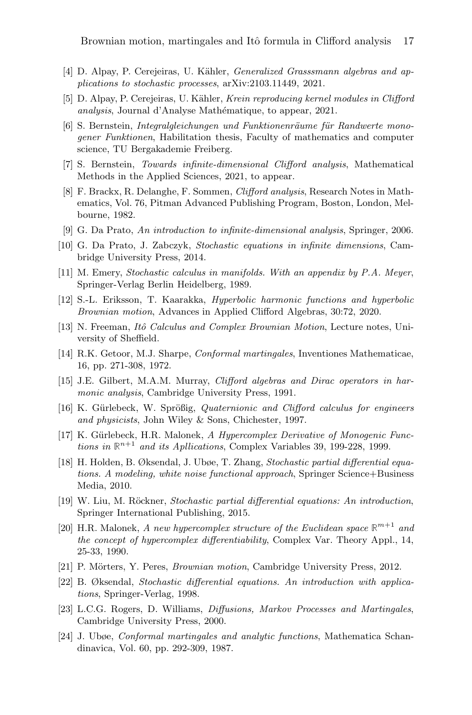- <span id="page-16-3"></span>[4] D. Alpay, P. Cerejeiras, U. Kähler, *Generalized Grasssmann algebras and ap*plications to stochastic processes, arXiv:2103.11449, 2021.
- <span id="page-16-4"></span>[5] D. Alpay, P. Cerejeiras, U. Kähler, Krein reproducing kernel modules in Clifford analysis, Journal d'Analyse Mathématique, to appear, 2021.
- <span id="page-16-17"></span>[6] S. Bernstein, Integralgleichungen und Funktionenräume für Randwerte monogener Funktionen, Habilitation thesis, Faculty of mathematics and computer science, TU Bergakademie Freiberg.
- <span id="page-16-6"></span>[7] S. Bernstein, Towards infinite-dimensional Clifford analysis, Mathematical Methods in the Applied Sciences, 2021, to appear.
- <span id="page-16-12"></span>[8] F. Brackx, R. Delanghe, F. Sommen, Clifford analysis, Research Notes in Mathematics, Vol. 76, Pitman Advanced Publishing Program, Boston, London, Melbourne, 1982.
- <span id="page-16-2"></span><span id="page-16-0"></span>[9] G. Da Prato, An introduction to infinite-dimensional analysis, Springer, 2006.
- [10] G. Da Prato, J. Zabczyk, Stochastic equations in infinite dimensions, Cambridge University Press, 2014.
- <span id="page-16-18"></span>[11] M. Emery, Stochastic calculus in manifolds. With an appendix by P.A. Meyer, Springer-Verlag Berlin Heidelberg, 1989.
- <span id="page-16-5"></span>[12] S.-L. Eriksson, T. Kaarakka, Hyperbolic harmonic functions and hyperbolic Brownian motion, Advances in Applied Clifford Algebras, 30:72, 2020.
- <span id="page-16-7"></span>[13] N. Freeman, *Itô Calculus and Complex Brownian Motion*, Lecture notes, University of Sheffield.
- <span id="page-16-8"></span>[14] R.K. Getoor, M.J. Sharpe, Conformal martingales, Inventiones Mathematicae, 16, pp. 271-308, 1972.
- [15] J.E. Gilbert, M.A.M. Murray, Clifford algebras and Dirac operators in harmonic analysis, Cambridge University Press, 1991.
- <span id="page-16-13"></span>[16] K. Gürlebeck, W. Sprößig, Quaternionic and Clifford calculus for engineers and physicists, John Wiley & Sons, Chichester, 1997.
- <span id="page-16-14"></span>[17] K. Gürlebeck, H.R. Malonek, A Hypercomplex Derivative of Monogenic Functions in  $\mathbb{R}^{n+1}$  and its Apllications, Complex Variables 39, 199-228, 1999.
- <span id="page-16-1"></span>[18] H. Holden, B. Øksendal, J. Ubøe, T. Zhang, Stochastic partial differential equations. A modeling, white noise functional approach, Springer Science+Business Media, 2010.
- [19] W. Liu, M. Röckner, Stochastic partial differential equations: An introduction, Springer International Publishing, 2015.
- <span id="page-16-15"></span>[20] H.R. Malonek, A new hypercomplex structure of the Euclidean space  $\mathbb{R}^{m+1}$  and the concept of hypercomplex differentiability, Complex Var. Theory Appl., 14, 25-33, 1990.
- <span id="page-16-16"></span><span id="page-16-10"></span>[21] P. Mörters, Y. Peres, *Brownian motion*, Cambridge University Press, 2012.
- [22] B. Øksendal, Stochastic differential equations. An introduction with applications, Springer-Verlag, 1998.
- <span id="page-16-11"></span>[23] L.C.G. Rogers, D. Williams, Diffusions, Markov Processes and Martingales, Cambridge University Press, 2000.
- <span id="page-16-9"></span>[24] J. Ubøe, Conformal martingales and analytic functions, Mathematica Schandinavica, Vol. 60, pp. 292-309, 1987.